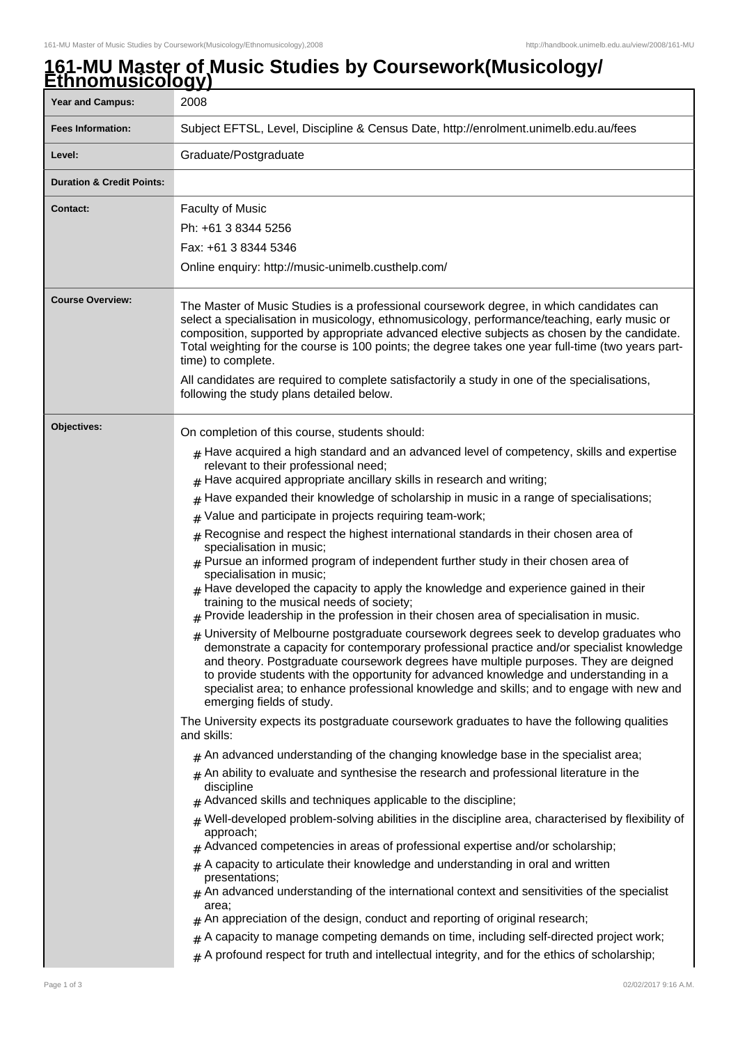## **161-MU Master of Music Studies by Coursework(Musicology/ Ethnomusicology)**

| <b>Year and Campus:</b>              | 2008                                                                                                                                                                                                                                                                                                                                                                                                                                                                                                                                                                                                                                                                                                                                                                                                                                                                                                                                                                                                                                                                                                                                                                                                                                                                                                                                                                                                                                                                                                                                                                                                                                                                                                                                                                                                                                                                                                                                                                                                                                                                                                                                                                                                                                                                                                                                                                                                                                                                                                                                        |
|--------------------------------------|---------------------------------------------------------------------------------------------------------------------------------------------------------------------------------------------------------------------------------------------------------------------------------------------------------------------------------------------------------------------------------------------------------------------------------------------------------------------------------------------------------------------------------------------------------------------------------------------------------------------------------------------------------------------------------------------------------------------------------------------------------------------------------------------------------------------------------------------------------------------------------------------------------------------------------------------------------------------------------------------------------------------------------------------------------------------------------------------------------------------------------------------------------------------------------------------------------------------------------------------------------------------------------------------------------------------------------------------------------------------------------------------------------------------------------------------------------------------------------------------------------------------------------------------------------------------------------------------------------------------------------------------------------------------------------------------------------------------------------------------------------------------------------------------------------------------------------------------------------------------------------------------------------------------------------------------------------------------------------------------------------------------------------------------------------------------------------------------------------------------------------------------------------------------------------------------------------------------------------------------------------------------------------------------------------------------------------------------------------------------------------------------------------------------------------------------------------------------------------------------------------------------------------------------|
| <b>Fees Information:</b>             | Subject EFTSL, Level, Discipline & Census Date, http://enrolment.unimelb.edu.au/fees                                                                                                                                                                                                                                                                                                                                                                                                                                                                                                                                                                                                                                                                                                                                                                                                                                                                                                                                                                                                                                                                                                                                                                                                                                                                                                                                                                                                                                                                                                                                                                                                                                                                                                                                                                                                                                                                                                                                                                                                                                                                                                                                                                                                                                                                                                                                                                                                                                                        |
| Level:                               | Graduate/Postgraduate                                                                                                                                                                                                                                                                                                                                                                                                                                                                                                                                                                                                                                                                                                                                                                                                                                                                                                                                                                                                                                                                                                                                                                                                                                                                                                                                                                                                                                                                                                                                                                                                                                                                                                                                                                                                                                                                                                                                                                                                                                                                                                                                                                                                                                                                                                                                                                                                                                                                                                                       |
| <b>Duration &amp; Credit Points:</b> |                                                                                                                                                                                                                                                                                                                                                                                                                                                                                                                                                                                                                                                                                                                                                                                                                                                                                                                                                                                                                                                                                                                                                                                                                                                                                                                                                                                                                                                                                                                                                                                                                                                                                                                                                                                                                                                                                                                                                                                                                                                                                                                                                                                                                                                                                                                                                                                                                                                                                                                                             |
| <b>Contact:</b>                      | <b>Faculty of Music</b><br>Ph: +61 3 8344 5256<br>Fax: +61 3 8344 5346<br>Online enquiry: http://music-unimelb.custhelp.com/                                                                                                                                                                                                                                                                                                                                                                                                                                                                                                                                                                                                                                                                                                                                                                                                                                                                                                                                                                                                                                                                                                                                                                                                                                                                                                                                                                                                                                                                                                                                                                                                                                                                                                                                                                                                                                                                                                                                                                                                                                                                                                                                                                                                                                                                                                                                                                                                                |
| <b>Course Overview:</b>              | The Master of Music Studies is a professional coursework degree, in which candidates can<br>select a specialisation in musicology, ethnomusicology, performance/teaching, early music or<br>composition, supported by appropriate advanced elective subjects as chosen by the candidate.<br>Total weighting for the course is 100 points; the degree takes one year full-time (two years part-<br>time) to complete.<br>All candidates are required to complete satisfactorily a study in one of the specialisations,<br>following the study plans detailed below.                                                                                                                                                                                                                                                                                                                                                                                                                                                                                                                                                                                                                                                                                                                                                                                                                                                                                                                                                                                                                                                                                                                                                                                                                                                                                                                                                                                                                                                                                                                                                                                                                                                                                                                                                                                                                                                                                                                                                                          |
| Objectives:                          | On completion of this course, students should:<br>$_{\rm #}$ Have acquired a high standard and an advanced level of competency, skills and expertise<br>relevant to their professional need;<br>$_{\text{\#}}$ Have acquired appropriate ancillary skills in research and writing;<br>Have expanded their knowledge of scholarship in music in a range of specialisations;<br>#<br>Value and participate in projects requiring team-work;<br>#<br>Recognise and respect the highest international standards in their chosen area of<br>$\#$<br>specialisation in music;<br>$#$ Pursue an informed program of independent further study in their chosen area of<br>specialisation in music;<br>$#$ Have developed the capacity to apply the knowledge and experience gained in their<br>training to the musical needs of society;<br>$#$ Provide leadership in the profession in their chosen area of specialisation in music.<br>$#$ University of Melbourne postgraduate coursework degrees seek to develop graduates who<br>demonstrate a capacity for contemporary professional practice and/or specialist knowledge<br>and theory. Postgraduate coursework degrees have multiple purposes. They are deigned<br>to provide students with the opportunity for advanced knowledge and understanding in a<br>specialist area; to enhance professional knowledge and skills; and to engage with new and<br>emerging fields of study.<br>The University expects its postgraduate coursework graduates to have the following qualities<br>and skills:<br>$#$ An advanced understanding of the changing knowledge base in the specialist area;<br>$#$ An ability to evaluate and synthesise the research and professional literature in the<br>discipline<br>$#$ Advanced skills and techniques applicable to the discipline;<br>$_{\#}$ Well-developed problem-solving abilities in the discipline area, characterised by flexibility of<br>approach;<br>$#$ Advanced competencies in areas of professional expertise and/or scholarship;<br>$*$ A capacity to articulate their knowledge and understanding in oral and written<br>presentations;<br>$#$ An advanced understanding of the international context and sensitivities of the specialist<br>area:<br>$*$ An appreciation of the design, conduct and reporting of original research;<br>$*$ A capacity to manage competing demands on time, including self-directed project work;<br>$#$ A profound respect for truth and intellectual integrity, and for the ethics of scholarship; |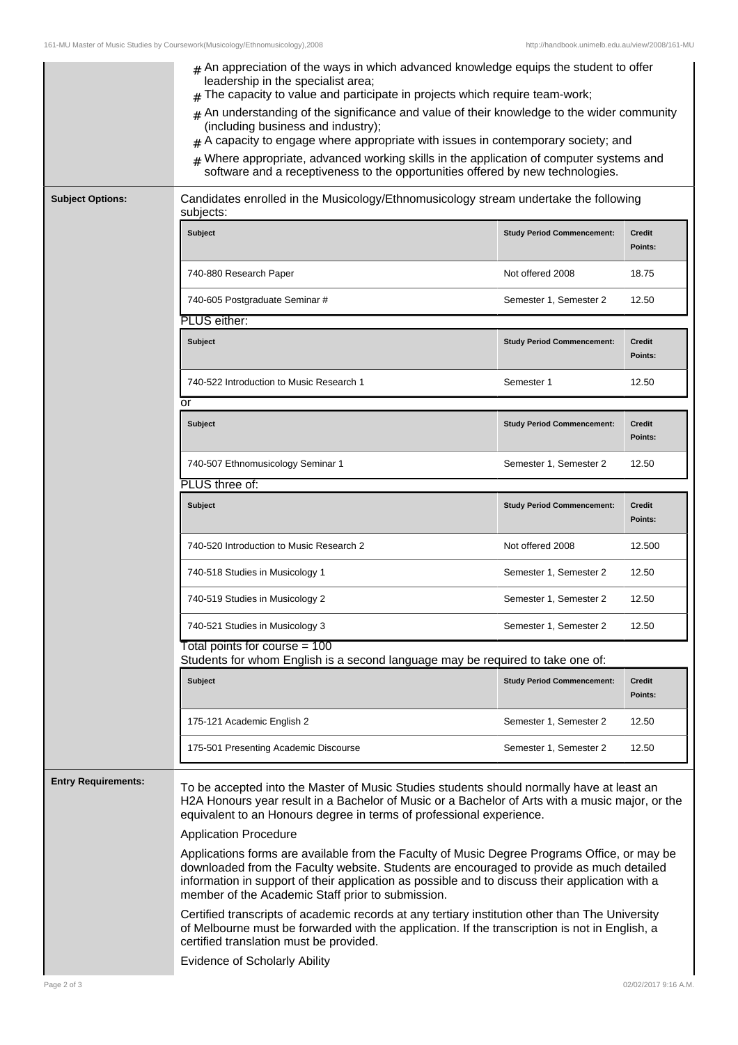|                            | $#$ An appreciation of the ways in which advanced knowledge equips the student to offer<br>leadership in the specialist area;<br>The capacity to value and participate in projects which require team-work;<br>An understanding of the significance and value of their knowledge to the wider community<br>$\pm$<br>(including business and industry);<br>A capacity to engage where appropriate with issues in contemporary society; and |                                   |                          |  |
|----------------------------|-------------------------------------------------------------------------------------------------------------------------------------------------------------------------------------------------------------------------------------------------------------------------------------------------------------------------------------------------------------------------------------------------------------------------------------------|-----------------------------------|--------------------------|--|
|                            | Where appropriate, advanced working skills in the application of computer systems and<br>software and a receptiveness to the opportunities offered by new technologies.                                                                                                                                                                                                                                                                   |                                   |                          |  |
| <b>Subject Options:</b>    | Candidates enrolled in the Musicology/Ethnomusicology stream undertake the following<br>subjects:                                                                                                                                                                                                                                                                                                                                         |                                   |                          |  |
|                            | <b>Subject</b>                                                                                                                                                                                                                                                                                                                                                                                                                            | <b>Study Period Commencement:</b> | <b>Credit</b><br>Points: |  |
|                            | 740-880 Research Paper                                                                                                                                                                                                                                                                                                                                                                                                                    | Not offered 2008                  | 18.75                    |  |
|                            | 740-605 Postgraduate Seminar #                                                                                                                                                                                                                                                                                                                                                                                                            | Semester 1, Semester 2            | 12.50                    |  |
|                            | PLUS either:                                                                                                                                                                                                                                                                                                                                                                                                                              |                                   |                          |  |
|                            | <b>Subject</b>                                                                                                                                                                                                                                                                                                                                                                                                                            | <b>Study Period Commencement:</b> | <b>Credit</b><br>Points: |  |
|                            | 740-522 Introduction to Music Research 1<br>or                                                                                                                                                                                                                                                                                                                                                                                            | Semester 1                        | 12.50                    |  |
|                            | <b>Subject</b>                                                                                                                                                                                                                                                                                                                                                                                                                            | <b>Study Period Commencement:</b> | <b>Credit</b><br>Points: |  |
|                            | 740-507 Ethnomusicology Seminar 1                                                                                                                                                                                                                                                                                                                                                                                                         | Semester 1, Semester 2            | 12.50                    |  |
|                            | PLUS three of:                                                                                                                                                                                                                                                                                                                                                                                                                            |                                   |                          |  |
|                            | <b>Subject</b>                                                                                                                                                                                                                                                                                                                                                                                                                            | <b>Study Period Commencement:</b> | <b>Credit</b><br>Points: |  |
|                            | 740-520 Introduction to Music Research 2                                                                                                                                                                                                                                                                                                                                                                                                  | Not offered 2008                  | 12.500                   |  |
|                            | 740-518 Studies in Musicology 1                                                                                                                                                                                                                                                                                                                                                                                                           | Semester 1, Semester 2            | 12.50                    |  |
|                            | 740-519 Studies in Musicology 2                                                                                                                                                                                                                                                                                                                                                                                                           | Semester 1, Semester 2            | 12.50                    |  |
|                            | 740-521 Studies in Musicology 3                                                                                                                                                                                                                                                                                                                                                                                                           | Semester 1, Semester 2            | 12.50                    |  |
|                            | Total points for course = 100<br>Students for whom English is a second language may be required to take one of:                                                                                                                                                                                                                                                                                                                           |                                   |                          |  |
|                            | <b>Subject</b>                                                                                                                                                                                                                                                                                                                                                                                                                            | <b>Study Period Commencement:</b> | <b>Credit</b><br>Points: |  |
|                            | 175-121 Academic English 2                                                                                                                                                                                                                                                                                                                                                                                                                | Semester 1, Semester 2            | 12.50                    |  |
|                            | 175-501 Presenting Academic Discourse                                                                                                                                                                                                                                                                                                                                                                                                     | Semester 1, Semester 2            | 12.50                    |  |
| <b>Entry Requirements:</b> | To be accepted into the Master of Music Studies students should normally have at least an<br>H2A Honours year result in a Bachelor of Music or a Bachelor of Arts with a music major, or the<br>equivalent to an Honours degree in terms of professional experience.                                                                                                                                                                      |                                   |                          |  |
|                            | <b>Application Procedure</b>                                                                                                                                                                                                                                                                                                                                                                                                              |                                   |                          |  |
|                            | Applications forms are available from the Faculty of Music Degree Programs Office, or may be<br>downloaded from the Faculty website. Students are encouraged to provide as much detailed<br>information in support of their application as possible and to discuss their application with a<br>member of the Academic Staff prior to submission.                                                                                          |                                   |                          |  |
|                            | Certified transcripts of academic records at any tertiary institution other than The University<br>of Melbourne must be forwarded with the application. If the transcription is not in English, a<br>certified translation must be provided.                                                                                                                                                                                              |                                   |                          |  |
|                            | Evidence of Scholarly Ability                                                                                                                                                                                                                                                                                                                                                                                                             |                                   |                          |  |